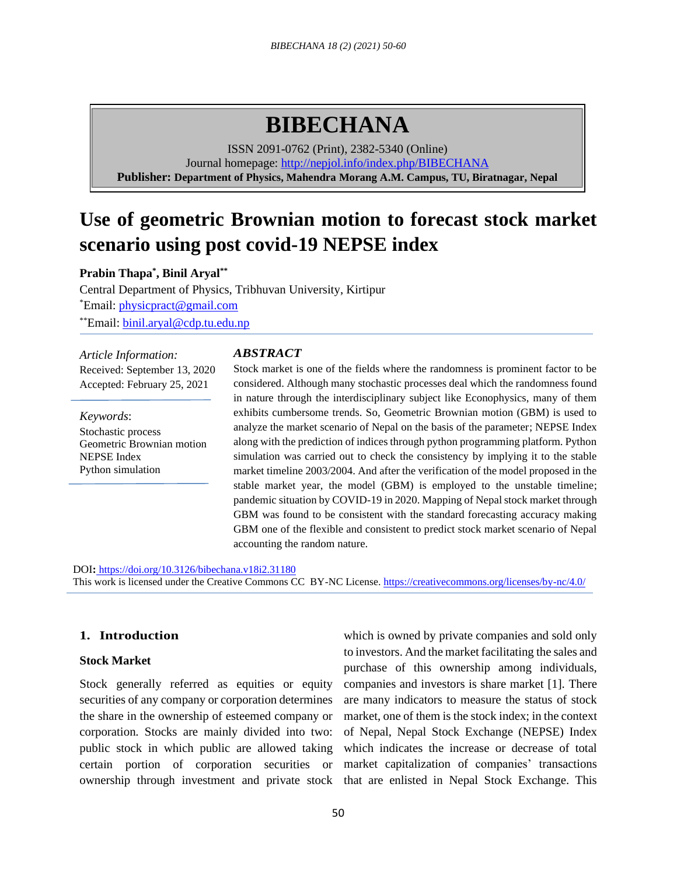# **BIBECHANA**

ISSN 2091-0762 (Print), 2382-5340 (Online) Journal homepage:<http://nepjol.info/index.php/BIBECHANA> **Publisher: Department of Physics, Mahendra Morang A.M. Campus, TU, Biratnagar, Nepal**

## **Use of geometric Brownian motion to forecast stock market scenario using post covid-19 NEPSE index**

**Prabin Thapa\* , Binil Aryal\*\***

Central Department of Physics, Tribhuvan University, Kirtipur \*Email: [physicpract@gmail.com](mailto:physicpract@gmail.com) \*\*Email: binil.aryal@cdp.tu.edu.np

*Article Information:* Received: September 13, 2020 Accepted: February 25, 2021

*Keywords*: Stochastic process Geometric Brownian motion NEPSE Index Python simulation

#### *ABSTRACT*

Stock market is one of the fields where the randomness is prominent factor to be considered. Although many stochastic processes deal which the randomness found in nature through the interdisciplinary subject like Econophysics, many of them exhibits cumbersome trends. So, Geometric Brownian motion (GBM) is used to analyze the market scenario of Nepal on the basis of the parameter; NEPSE Index along with the prediction of indices through python programming platform. Python simulation was carried out to check the consistency by implying it to the stable market timeline 2003/2004. And after the verification of the model proposed in the stable market year, the model (GBM) is employed to the unstable timeline; pandemic situation by COVID-19 in 2020. Mapping of Nepal stock market through GBM was found to be consistent with the standard forecasting accuracy making GBM one of the flexible and consistent to predict stock market scenario of Nepal accounting the random nature.

DOI**:** <https://doi.org/10.3126/bibechana.v18i2.31180>

This work is licensed under the Creative Commons CC BY-NC License.<https://creativecommons.org/licenses/by-nc/4.0/>

## **1. Introduction**

#### **Stock Market**

Stock generally referred as equities or equity securities of any company or corporation determines the share in the ownership of esteemed company or corporation. Stocks are mainly divided into two: public stock in which public are allowed taking certain portion of corporation securities or

ownership through investment and private stock that are enlisted in Nepal Stock Exchange. This which is owned by private companies and sold only to investors. And the market facilitating the sales and purchase of this ownership among individuals, companies and investors is share market [1]. There are many indicators to measure the status of stock market, one of them is the stock index; in the context of Nepal, Nepal Stock Exchange (NEPSE) Index which indicates the increase or decrease of total market capitalization of companies' transactions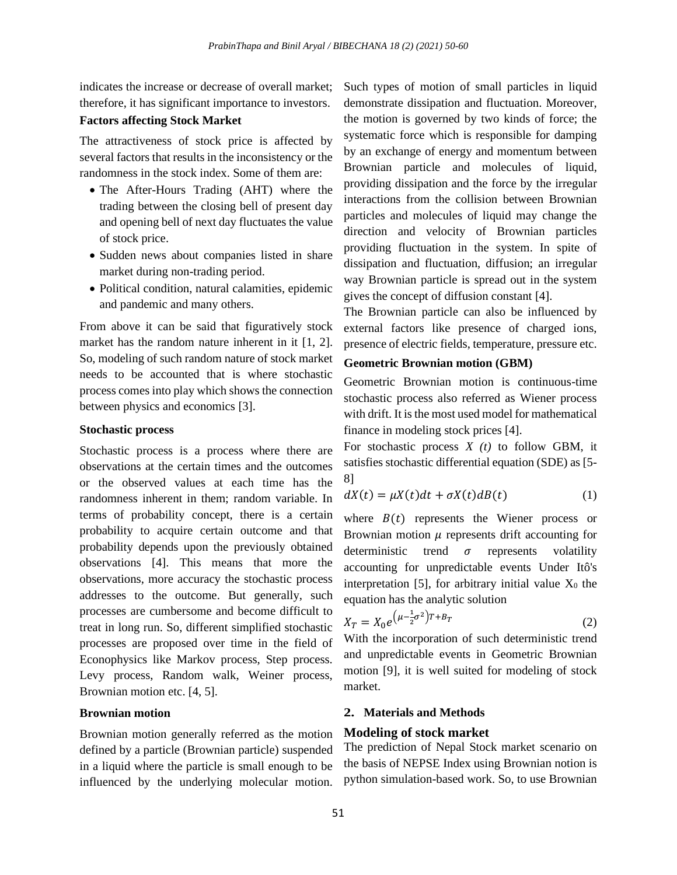indicates the increase or decrease of overall market; therefore, it has significant importance to investors.

#### **Factors affecting Stock Market**

The attractiveness of stock price is affected by several factors that results in the inconsistency or the randomness in the stock index. Some of them are:

- The After-Hours Trading (AHT) where the trading between the closing bell of present day and opening bell of next day fluctuates the value of stock price.
- Sudden news about companies listed in share market during non-trading period.
- Political condition, natural calamities, epidemic and pandemic and many others.

From above it can be said that figuratively stock market has the random nature inherent in it [1, 2]. So, modeling of such random nature of stock market needs to be accounted that is where stochastic process comes into play which shows the connection between physics and economics [3].

#### **Stochastic process**

Stochastic process is a process where there are observations at the certain times and the outcomes or the observed values at each time has the randomness inherent in them; random variable. In terms of probability concept, there is a certain probability to acquire certain outcome and that probability depends upon the previously obtained observations [4]. This means that more the observations, more accuracy the stochastic process addresses to the outcome. But generally, such processes are cumbersome and become difficult to treat in long run. So, different simplified stochastic processes are proposed over time in the field of Econophysics like Markov process, Step process. Levy process, Random walk, Weiner process, Brownian motion etc. [4, 5].

#### **Brownian motion**

Brownian motion generally referred as the motion defined by a particle (Brownian particle) suspended in a liquid where the particle is small enough to be influenced by the underlying molecular motion.

Such types of motion of small particles in liquid demonstrate dissipation and fluctuation. Moreover, the motion is governed by two kinds of force; the systematic force which is responsible for damping by an exchange of energy and momentum between Brownian particle and molecules of liquid, providing dissipation and the force by the irregular interactions from the collision between Brownian particles and molecules of liquid may change the direction and velocity of Brownian particles providing fluctuation in the system. In spite of dissipation and fluctuation, diffusion; an irregular way Brownian particle is spread out in the system gives the concept of diffusion constant [4].

The Brownian particle can also be influenced by external factors like presence of charged ions, presence of electric fields, temperature, pressure etc.

## **Geometric Brownian motion (GBM)**

Geometric Brownian motion is continuous-time stochastic process also referred as Wiener process with drift. It is the most used model for mathematical finance in modeling stock prices [4].

For stochastic process *X (t)* to follow GBM, it satisfies stochastic differential equation (SDE) as [5- 8]

$$
dX(t) = \mu X(t)dt + \sigma X(t)dB(t)
$$
 (1)

where  $B(t)$  represents the Wiener process or Brownian motion  $\mu$  represents drift accounting for deterministic trend  $\sigma$  represents volatility accounting for unpredictable events Under Itô's interpretation [5], for arbitrary initial value  $X_0$  the equation has the analytic solution

$$
X_T = X_0 e^{\left(\mu - \frac{1}{2}\sigma^2\right)T + B_T} \tag{2}
$$

With the incorporation of such deterministic trend and unpredictable events in Geometric Brownian motion [9], it is well suited for modeling of stock market.

## **2. Materials and Methods**

#### **Modeling of stock market**

The prediction of Nepal Stock market scenario on the basis of NEPSE Index using Brownian notion is python simulation-based work. So, to use Brownian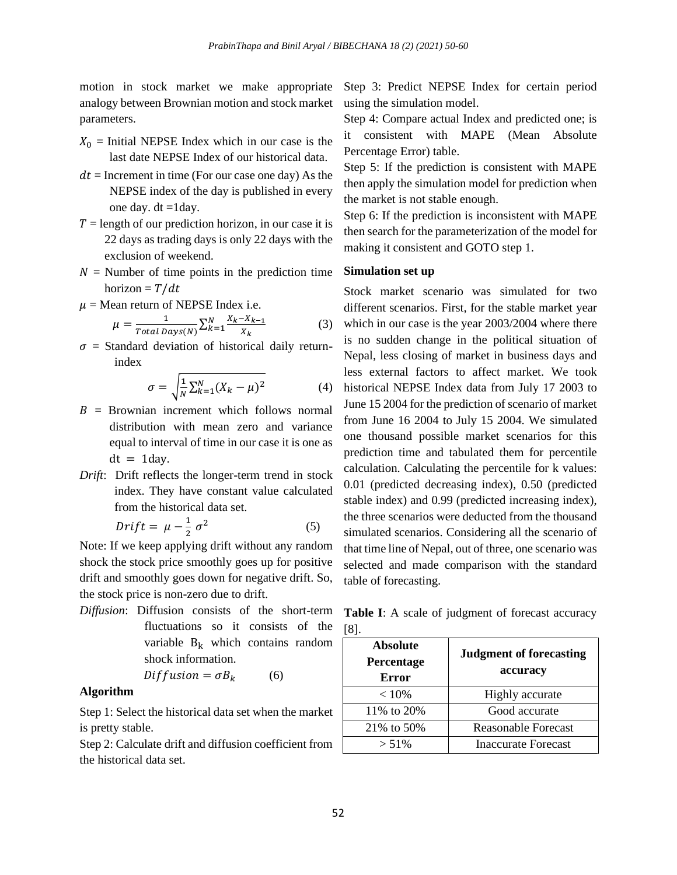motion in stock market we make appropriate analogy between Brownian motion and stock market parameters.

- $X_0$  = Initial NEPSE Index which in our case is the last date NEPSE Index of our historical data.
- $dt =$  Increment in time (For our case one day) As the NEPSE index of the day is published in every one day.  $dt = 1$ day.
- $T =$  length of our prediction horizon, in our case it is 22 days as trading days is only 22 days with the exclusion of weekend.
- $N =$  Number of time points in the prediction time horizon =  $T/dt$
- $\mu$  = Mean return of NEPSE Index i.e.

$$
\mu = \frac{1}{Total \, Days(N)} \sum_{k=1}^{N} \frac{X_k - X_{k-1}}{X_k} \tag{3}
$$

 $\sigma$  = Standard deviation of historical daily returnindex

$$
\sigma = \sqrt{\frac{1}{N} \sum_{k=1}^{N} (X_k - \mu)^2}
$$
 (4)

- $B = B$ rownian increment which follows normal distribution with mean zero and variance equal to interval of time in our case it is one as  $dt = 1$ day.
- *Drift*: Drift reflects the longer-term trend in stock index. They have constant value calculated from the historical data set.

$$
Drift = \mu - \frac{1}{2} \sigma^2 \tag{5}
$$

Note: If we keep applying drift without any random shock the stock price smoothly goes up for positive drift and smoothly goes down for negative drift. So, the stock price is non-zero due to drift.

*Diffusion*: Diffusion consists of the short-term fluctuations so it consists of the variable  $B_k$  which contains random shock information.

$$
Diffusion = \sigma B_k \tag{6}
$$

## **Algorithm**

Step 1: Select the historical data set when the market is pretty stable.

Step 2: Calculate drift and diffusion coefficient from the historical data set.

Step 3: Predict NEPSE Index for certain period using the simulation model.

Step 4: Compare actual Index and predicted one; is it consistent with MAPE (Mean Absolute Percentage Error) table.

Step 5: If the prediction is consistent with MAPE then apply the simulation model for prediction when the market is not stable enough.

Step 6: If the prediction is inconsistent with MAPE then search for the parameterization of the model for making it consistent and GOTO step 1.

## **Simulation set up**

Stock market scenario was simulated for two different scenarios. First, for the stable market year which in our case is the year 2003/2004 where there is no sudden change in the political situation of Nepal, less closing of market in business days and less external factors to affect market. We took historical NEPSE Index data from July 17 2003 to June 15 2004 for the prediction of scenario of market from June 16 2004 to July 15 2004. We simulated one thousand possible market scenarios for this prediction time and tabulated them for percentile calculation. Calculating the percentile for k values: 0.01 (predicted decreasing index), 0.50 (predicted stable index) and 0.99 (predicted increasing index), the three scenarios were deducted from the thousand simulated scenarios. Considering all the scenario of that time line of Nepal, out of three, one scenario was selected and made comparison with the standard table of forecasting.

**Table I**: A scale of judgment of forecast accuracy [8].

| <b>Absolute</b><br>Percentage<br>Error | <b>Judgment of forecasting</b><br>accuracy |
|----------------------------------------|--------------------------------------------|
| $< 10\%$                               | <b>Highly</b> accurate                     |
| 11% to 20%                             | Good accurate                              |
| 21% to 50%                             | <b>Reasonable Forecast</b>                 |
| $> 51\%$                               | <b>Inaccurate Forecast</b>                 |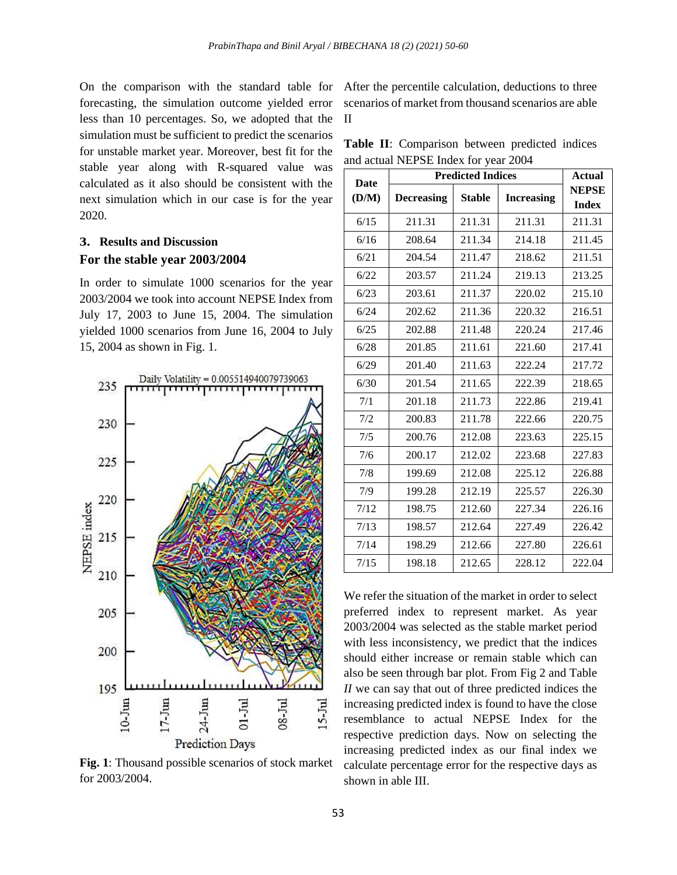forecasting, the simulation outcome yielded error less than 10 percentages. So, we adopted that the simulation must be sufficient to predict the scenarios for unstable market year. Moreover, best fit for the stable year along with R-squared value was calculated as it also should be consistent with the next simulation which in our case is for the year 2020.

## **3. Results and Discussion For the stable year 2003/2004**

In order to simulate 1000 scenarios for the year 2003/2004 we took into account NEPSE Index from July 17, 2003 to June 15, 2004. The simulation yielded 1000 scenarios from June 16, 2004 to July 15, 2004 as shown in Fig. 1.



**Fig. 1**: Thousand possible scenarios of stock market for 2003/2004.

On the comparison with the standard table for After the percentile calculation, deductions to three scenarios of market from thousand scenarios are able II

|  | <b>Table II:</b> Comparison between predicted indices |  |  |
|--|-------------------------------------------------------|--|--|
|  | and actual NEPSE Index for year 2004                  |  |  |

| <b>Date</b> | <b>Predicted Indices</b> |               |                   | <b>Actual</b>                |
|-------------|--------------------------|---------------|-------------------|------------------------------|
| (D/M)       | <b>Decreasing</b>        | <b>Stable</b> | <b>Increasing</b> | <b>NEPSE</b><br><b>Index</b> |
| 6/15        | 211.31                   | 211.31        | 211.31            | 211.31                       |
| 6/16        | 208.64                   | 211.34        | 214.18            | 211.45                       |
| 6/21        | 204.54                   | 211.47        | 218.62            | 211.51                       |
| 6/22        | 203.57                   | 211.24        | 219.13            | 213.25                       |
| 6/23        | 203.61                   | 211.37        | 220.02            | 215.10                       |
| 6/24        | 202.62                   | 211.36        | 220.32            | 216.51                       |
| 6/25        | 202.88                   | 211.48        | 220.24            | 217.46                       |
| 6/28        | 201.85                   | 211.61        | 221.60            | 217.41                       |
| 6/29        | 201.40                   | 211.63        | 222.24            | 217.72                       |
| 6/30        | 201.54                   | 211.65        | 222.39            | 218.65                       |
| 7/1         | 201.18                   | 211.73        | 222.86            | 219.41                       |
| 7/2         | 200.83                   | 211.78        | 222.66            | 220.75                       |
| 7/5         | 200.76                   | 212.08        | 223.63            | 225.15                       |
| 7/6         | 200.17                   | 212.02        | 223.68            | 227.83                       |
| 7/8         | 199.69                   | 212.08        | 225.12            | 226.88                       |
| 7/9         | 199.28                   | 212.19        | 225.57            | 226.30                       |
| 7/12        | 198.75                   | 212.60        | 227.34            | 226.16                       |
| 7/13        | 198.57                   | 212.64        | 227.49            | 226.42                       |
| 7/14        | 198.29                   | 212.66        | 227.80            | 226.61                       |
| 7/15        | 198.18                   | 212.65        | 228.12            | 222.04                       |

We refer the situation of the market in order to select preferred index to represent market. As year 2003/2004 was selected as the stable market period with less inconsistency, we predict that the indices should either increase or remain stable which can also be seen through bar plot. From Fig 2 and Table *II* we can say that out of three predicted indices the increasing predicted index is found to have the close resemblance to actual NEPSE Index for the respective prediction days. Now on selecting the increasing predicted index as our final index we calculate percentage error for the respective days as shown in able III.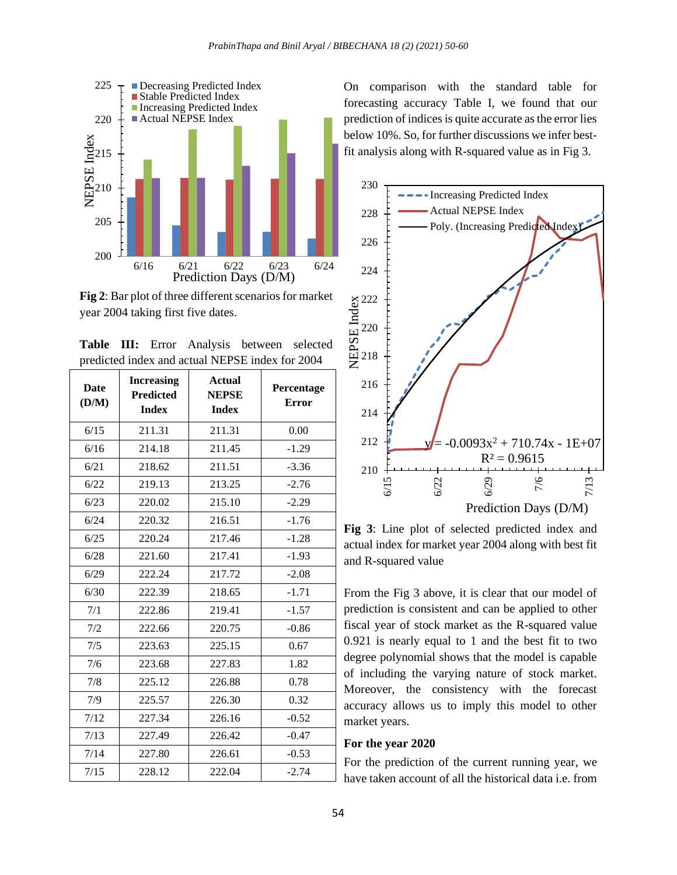

**Fig 2**: Bar plot of three different scenarios for market year 2004 taking first five dates.

**Table III:** Error Analysis between selected predicted index and actual NEPSE index for 2004

| <b>Date</b><br>(D/M) | <b>Increasing</b><br><b>Predicted</b><br><b>Index</b> | <b>Actual</b><br><b>NEPSE</b><br><b>Index</b> | Percentage<br><b>Error</b> |
|----------------------|-------------------------------------------------------|-----------------------------------------------|----------------------------|
| 6/15                 | 211.31                                                | 211.31                                        | 0.00                       |
| 6/16                 | 214.18                                                | 211.45                                        | $-1.29$                    |
| 6/21                 | 218.62                                                | 211.51                                        | $-3.36$                    |
| 6/22                 | 219.13                                                | 213.25                                        | $-2.76$                    |
| 6/23                 | 220.02                                                | 215.10                                        | $-2.29$                    |
| 6/24                 | 220.32                                                | 216.51                                        | $-1.76$                    |
| 6/25                 | 220.24                                                | 217.46                                        | $-1.28$                    |
| 6/28                 | 221.60                                                | 217.41                                        | $-1.93$                    |
| 6/29                 | 222.24                                                | 217.72                                        | $-2.08$                    |
| 6/30                 | 222.39                                                | 218.65                                        | $-1.71$                    |
| 7/1                  | 222.86                                                | 219.41                                        | $-1.57$                    |
| 7/2                  | 222.66                                                | 220.75                                        | $-0.86$                    |
| 7/5                  | 223.63                                                | 225.15                                        | 0.67                       |
| 7/6                  | 223.68                                                | 227.83                                        | 1.82                       |
| 7/8                  | 225.12                                                | 226.88                                        | 0.78                       |
| 7/9                  | 225.57                                                | 226.30                                        | 0.32                       |
| 7/12                 | 227.34                                                | 226.16                                        | $-0.52$                    |
| 7/13                 | 227.49                                                | 226.42                                        | $-0.47$                    |
| 7/14                 | 227.80                                                | 226.61                                        | $-0.53$                    |
| 7/15                 | 228.12                                                | 222.04                                        | $-2.74$                    |

On comparison with the standard table for forecasting accuracy Table I, we found that our prediction of indices is quite accurate as the error lies below 10%. So, for further discussions we infer bestfit analysis along with R-squared value as in Fig 3.



**Fig 3**: Line plot of selected predicted index and actual index for market year 2004 along with best fit and R-squared value

From the Fig 3 above, it is clear that our model of prediction is consistent and can be applied to other fiscal year of stock market as the R-squared value 0.921 is nearly equal to 1 and the best fit to two degree polynomial shows that the model is capable of including the varying nature of stock market. Moreover, the consistency with the forecast accuracy allows us to imply this model to other market years.

#### **For the year 2020**

For the prediction of the current running year, we have taken account of all the historical data i.e. from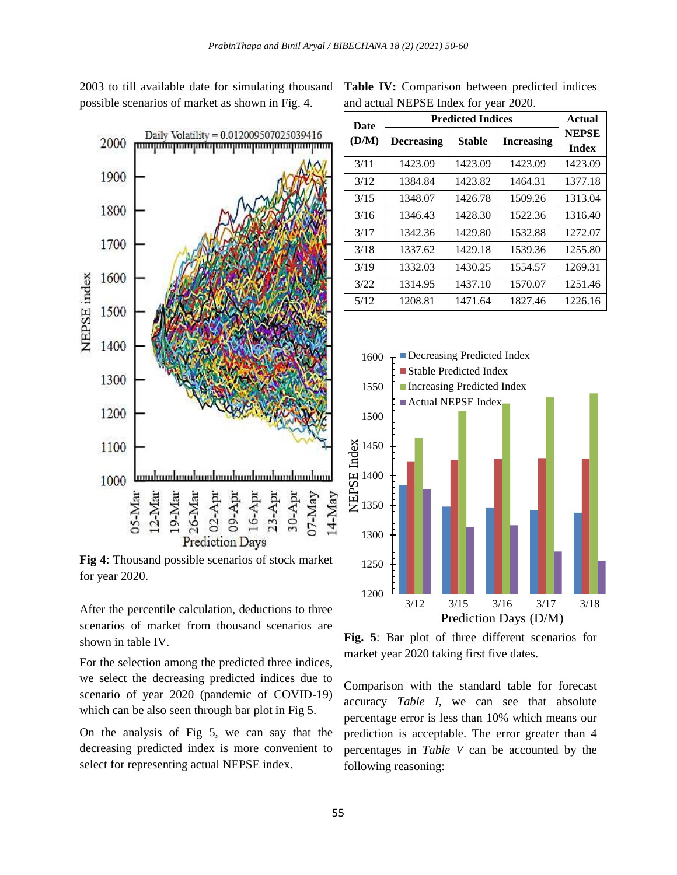2003 to till available date for simulating thousand **Table IV:** Comparison between predicted indices possible scenarios of market as shown in Fig. 4.



**Fig 4**: Thousand possible scenarios of stock market for year 2020.

After the percentile calculation, deductions to three scenarios of market from thousand scenarios are shown in table IV.

For the selection among the predicted three indices, we select the decreasing predicted indices due to scenario of year 2020 (pandemic of COVID-19) which can be also seen through bar plot in Fig 5.

On the analysis of Fig 5, we can say that the decreasing predicted index is more convenient to select for representing actual NEPSE index.

and actual NEPSE Index for year 2020.

| <b>Date</b> | <b>Predicted Indices</b> |               |                   | Actual                       |
|-------------|--------------------------|---------------|-------------------|------------------------------|
| (D/M)       | <b>Decreasing</b>        | <b>Stable</b> | <b>Increasing</b> | <b>NEPSE</b><br><b>Index</b> |
| 3/11        | 1423.09                  | 1423.09       | 1423.09           | 1423.09                      |
| 3/12        | 1384.84                  | 1423.82       | 1464.31           | 1377.18                      |
| 3/15        | 1348.07                  | 1426.78       | 1509.26           | 1313.04                      |
| 3/16        | 1346.43                  | 1428.30       | 1522.36           | 1316.40                      |
| 3/17        | 1342.36                  | 1429.80       | 1532.88           | 1272.07                      |
| 3/18        | 1337.62                  | 1429.18       | 1539.36           | 1255.80                      |
| 3/19        | 1332.03                  | 1430.25       | 1554.57           | 1269.31                      |
| 3/22        | 1314.95                  | 1437.10       | 1570.07           | 1251.46                      |
| 5/12        | 1208.81                  | 1471.64       | 1827.46           | 1226.16                      |



**Fig. 5**: Bar plot of three different scenarios for market year 2020 taking first five dates.

Comparison with the standard table for forecast accuracy *Table I*, we can see that absolute percentage error is less than 10% which means our prediction is acceptable. The error greater than 4 percentages in *Table V* can be accounted by the following reasoning: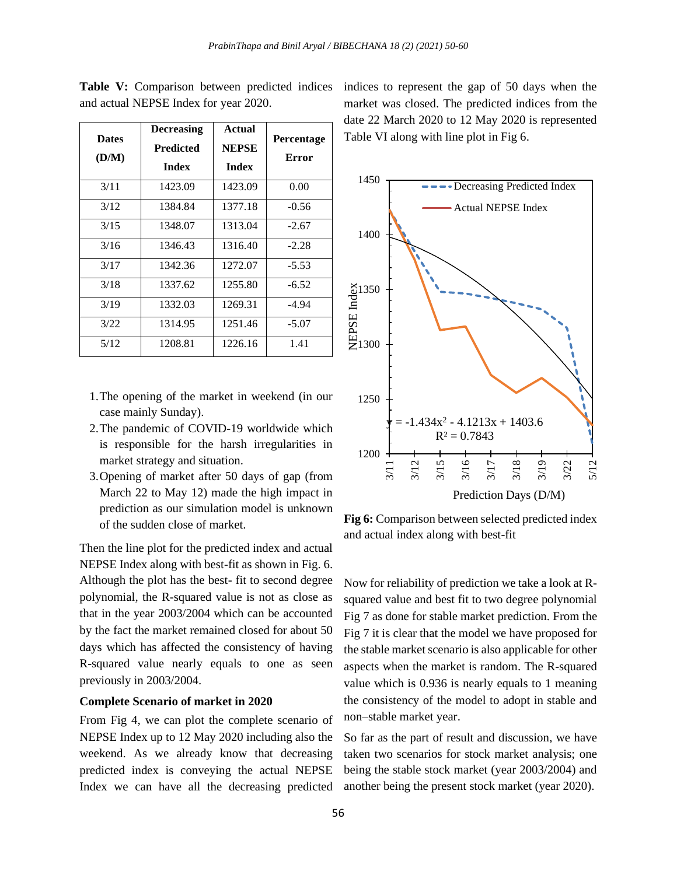| <b>Dates</b><br>(D/M) | <b>Decreasing</b><br><b>Predicted</b><br><b>Index</b> | Actual<br><b>NEPSE</b><br><b>Index</b> | Percentage<br>Error |
|-----------------------|-------------------------------------------------------|----------------------------------------|---------------------|
| 3/11                  | 1423.09                                               | 1423.09                                | 0.00                |
| 3/12                  | 1384.84                                               | 1377.18                                | $-0.56$             |
| 3/15                  | 1348.07                                               | 1313.04                                | $-2.67$             |
| 3/16                  | 1346.43                                               | 1316.40                                | $-2.28$             |
| 3/17                  | 1342.36                                               | 1272.07                                | $-5.53$             |
| 3/18                  | 1337.62                                               | 1255.80                                | $-6.52$             |
| 3/19                  | 1332.03                                               | 1269.31                                | $-4.94$             |
| 3/22                  | 1314.95                                               | 1251.46                                | $-5.07$             |
| 5/12                  | 1208.81                                               | 1226.16                                | 1.41                |

**Table V:** Comparison between predicted indices and actual NEPSE Index for year 2020.

- 1.The opening of the market in weekend (in our case mainly Sunday).
- 2.The pandemic of COVID-19 worldwide which is responsible for the harsh irregularities in market strategy and situation.
- 3.Opening of market after 50 days of gap (from March 22 to May 12) made the high impact in prediction as our simulation model is unknown of the sudden close of market.

Then the line plot for the predicted index and actual NEPSE Index along with best-fit as shown in Fig. 6. Although the plot has the best- fit to second degree polynomial, the R-squared value is not as close as that in the year 2003/2004 which can be accounted by the fact the market remained closed for about 50 days which has affected the consistency of having R-squared value nearly equals to one as seen previously in 2003/2004.

#### **Complete Scenario of market in 2020**

From Fig 4, we can plot the complete scenario of NEPSE Index up to 12 May 2020 including also the weekend. As we already know that decreasing predicted index is conveying the actual NEPSE Index we can have all the decreasing predicted

indices to represent the gap of 50 days when the market was closed. The predicted indices from the date 22 March 2020 to 12 May 2020 is represented Table VI along with line plot in Fig 6.



**Fig 6:** Comparison between selected predicted index and actual index along with best-fit

Now for reliability of prediction we take a look at Rsquared value and best fit to two degree polynomial Fig 7 as done for stable market prediction. From the Fig 7 it is clear that the model we have proposed for the stable market scenario is also applicable for other aspects when the market is random. The R-squared value which is 0.936 is nearly equals to 1 meaning the consistency of the model to adopt in stable and non–stable market year.

So far as the part of result and discussion, we have taken two scenarios for stock market analysis; one being the stable stock market (year 2003/2004) and another being the present stock market (year 2020).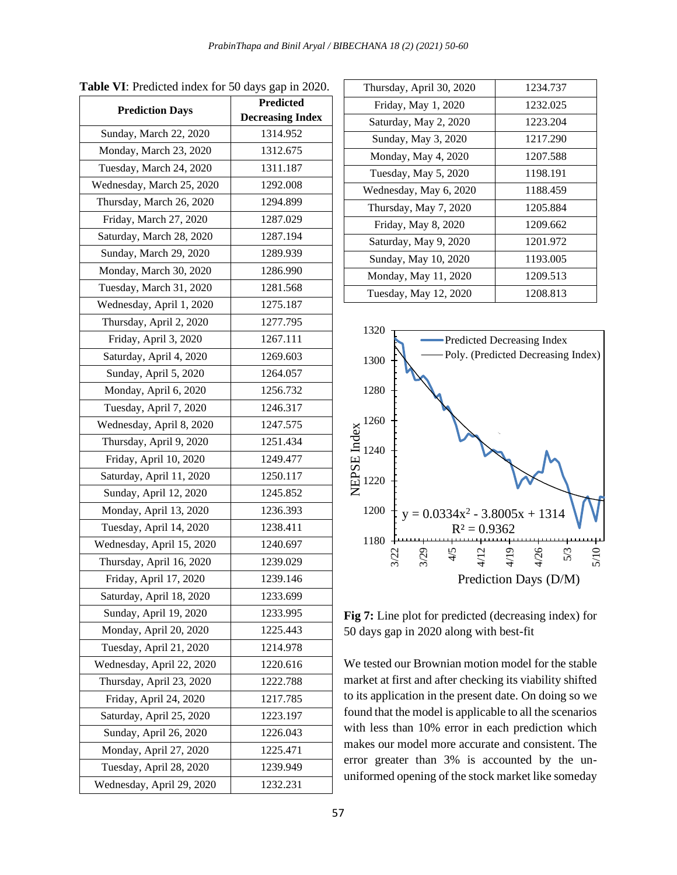|                           | <b>Predicted</b>        |  |
|---------------------------|-------------------------|--|
| <b>Prediction Days</b>    | <b>Decreasing Index</b> |  |
| Sunday, March 22, 2020    | 1314.952                |  |
| Monday, March 23, 2020    | 1312.675                |  |
| Tuesday, March 24, 2020   | 1311.187                |  |
| Wednesday, March 25, 2020 | 1292.008                |  |
| Thursday, March 26, 2020  | 1294.899                |  |
| Friday, March 27, 2020    | 1287.029                |  |
| Saturday, March 28, 2020  | 1287.194                |  |
| Sunday, March 29, 2020    | 1289.939                |  |
| Monday, March 30, 2020    | 1286.990                |  |
| Tuesday, March 31, 2020   | 1281.568                |  |
| Wednesday, April 1, 2020  | 1275.187                |  |
| Thursday, April 2, 2020   | 1277.795                |  |
| Friday, April 3, 2020     | 1267.111                |  |
| Saturday, April 4, 2020   | 1269.603                |  |
| Sunday, April 5, 2020     | 1264.057                |  |
| Monday, April 6, 2020     | 1256.732                |  |
| Tuesday, April 7, 2020    | 1246.317                |  |
| Wednesday, April 8, 2020  | 1247.575                |  |
| Thursday, April 9, 2020   | 1251.434                |  |
| Friday, April 10, 2020    | 1249.477                |  |
| Saturday, April 11, 2020  | 1250.117                |  |
| Sunday, April 12, 2020    | 1245.852                |  |
| Monday, April 13, 2020    | 1236.393                |  |
| Tuesday, April 14, 2020   | 1238.411                |  |
| Wednesday, April 15, 2020 | 1240.697                |  |
| Thursday, April 16, 2020  | 1239.029                |  |
| Friday, April 17, 2020    | 1239.146                |  |
| Saturday, April 18, 2020  | 1233.699                |  |
| Sunday, April 19, 2020    | 1233.995                |  |
| Monday, April 20, 2020    | 1225.443                |  |
| Tuesday, April 21, 2020   | 1214.978                |  |
| Wednesday, April 22, 2020 | 1220.616                |  |
| Thursday, April 23, 2020  | 1222.788                |  |
| Friday, April 24, 2020    | 1217.785                |  |
| Saturday, April 25, 2020  | 1223.197                |  |
| Sunday, April 26, 2020    | 1226.043                |  |
| Monday, April 27, 2020    | 1225.471                |  |
| Tuesday, April 28, 2020   | 1239.949                |  |
| Wednesday, April 29, 2020 | 1232.231                |  |

**Table VI**: Predicted index for 50 days gap in 2020.

| Thursday, April 30, 2020 | 1234.737 |
|--------------------------|----------|
| Friday, May 1, 2020      | 1232.025 |
| Saturday, May 2, 2020    | 1223.204 |
| Sunday, May 3, 2020      | 1217.290 |
| Monday, May 4, 2020      | 1207.588 |
| Tuesday, May 5, 2020     | 1198.191 |
| Wednesday, May 6, 2020   | 1188.459 |
| Thursday, May 7, 2020    | 1205.884 |
| Friday, May 8, 2020      | 1209.662 |
| Saturday, May 9, 2020    | 1201.972 |
| Sunday, May 10, 2020     | 1193.005 |
| Monday, May 11, 2020     | 1209.513 |
| Tuesday, May 12, 2020    | 1208.813 |
|                          |          |



**Fig 7:** Line plot for predicted (decreasing index) for 50 days gap in 2020 along with best-fit

We tested our Brownian motion model for the stable market at first and after checking its viability shifted to its application in the present date. On doing so we found that the model is applicable to all the scenarios with less than 10% error in each prediction which makes our model more accurate and consistent. The error greater than 3% is accounted by the ununiformed opening of the stock market like someday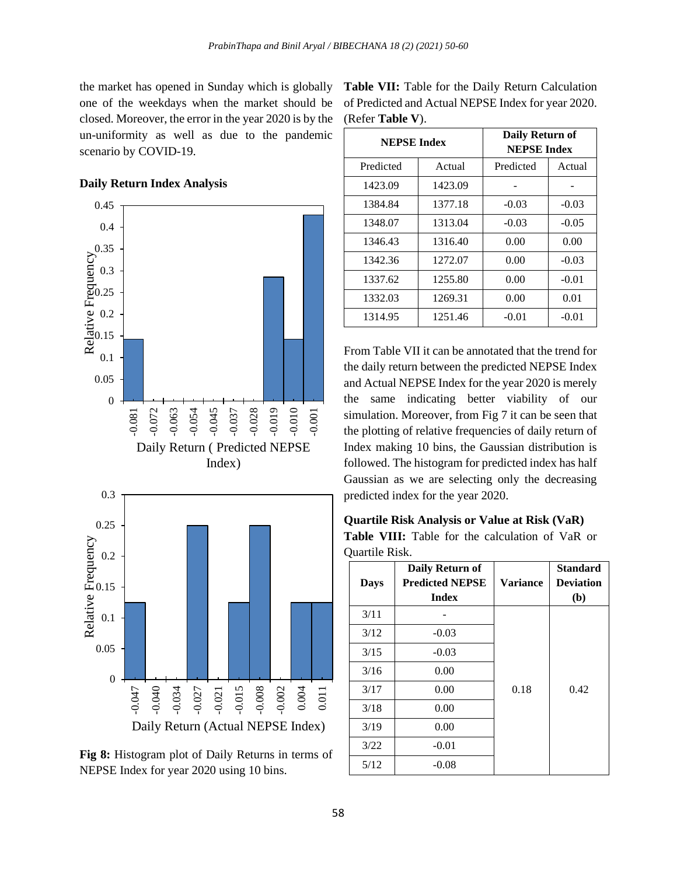the market has opened in Sunday which is globally one of the weekdays when the market should be closed. Moreover, the error in the year 2020 is by the un-uniformity as well as due to the pandemic scenario by COVID-19.





**Fig 8:** Histogram plot of Daily Returns in terms of NEPSE Index for year 2020 using 10 bins.

| Table VII: Table for the Daily Return Calculation  |
|----------------------------------------------------|
| of Predicted and Actual NEPSE Index for year 2020. |
| (Refer <b>Table V</b> ).                           |

| <b>NEPSE Index</b> |         | Daily Return of<br><b>NEPSE Index</b> |         |
|--------------------|---------|---------------------------------------|---------|
| Predicted          | Actual  | Predicted                             | Actual  |
| 1423.09            | 1423.09 |                                       |         |
| 1384.84            | 1377.18 | $-0.03$                               | $-0.03$ |
| 1348.07            | 1313.04 | $-0.03$                               | $-0.05$ |
| 1346.43            | 1316.40 | 0.00                                  | 0.00    |
| 1342.36            | 1272.07 | 0.00                                  | $-0.03$ |
| 1337.62            | 1255.80 | 0.00                                  | $-0.01$ |
| 1332.03            | 1269.31 | 0.00                                  | 0.01    |
| 1314.95            | 1251.46 | $-0.01$                               | $-0.01$ |

From Table VII it can be annotated that the trend for the daily return between the predicted NEPSE Index and Actual NEPSE Index for the year 2020 is merely the same indicating better viability of our simulation. Moreover, from Fig 7 it can be seen that the plotting of relative frequencies of daily return of Index making 10 bins, the Gaussian distribution is followed. The histogram for predicted index has half Gaussian as we are selecting only the decreasing predicted index for the year 2020.

**Quartile Risk Analysis or Value at Risk (VaR) Table VIII:** Table for the calculation of VaR or Quartile Risk.

| <b>Days</b> | Daily Return of<br><b>Predicted NEPSE</b><br><b>Index</b> | <b>Variance</b> | <b>Standard</b><br><b>Deviation</b><br>(b) |
|-------------|-----------------------------------------------------------|-----------------|--------------------------------------------|
| 3/11        |                                                           |                 |                                            |
| 3/12        | $-0.03$                                                   |                 |                                            |
| 3/15        | $-0.03$                                                   |                 |                                            |
| 3/16        | 0.00                                                      |                 |                                            |
| 3/17        | 0.00                                                      | 0.18            | 0.42                                       |
| 3/18        | 0.00                                                      |                 |                                            |
| 3/19        | 0.00                                                      |                 |                                            |
| 3/22        | $-0.01$                                                   |                 |                                            |
| 5/12        | $-0.08$                                                   |                 |                                            |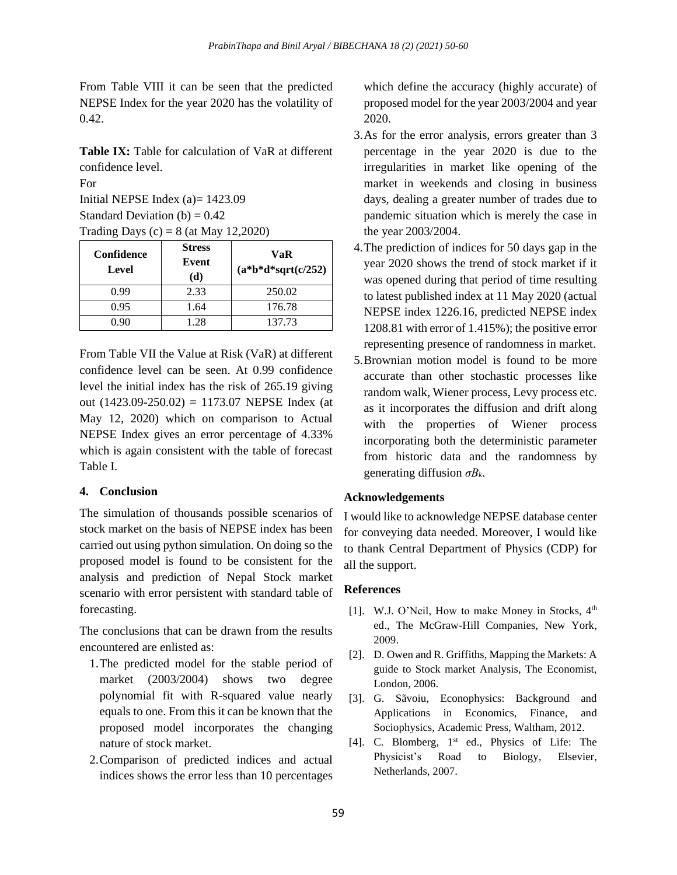From Table VIII it can be seen that the predicted NEPSE Index for the year 2020 has the volatility of 0.42.

**Table IX:** Table for calculation of VaR at different confidence level.

For Initial NEPSE Index (a)= 1423.09 Standard Deviation (b)  $= 0.42$ Trading Days  $(c) = 8$  (at May 12,2020)

| Confidence<br>Level | <b>Stress</b><br>Event<br>(d) | VaR<br>$(a * b * d * sqrt(c/252))$ |
|---------------------|-------------------------------|------------------------------------|
| 0.99                | 2.33                          | 250.02                             |
| 0.95                | 1.64                          | 176.78                             |
| 0.90                | 1.28                          | 137.73                             |

From Table VII the Value at Risk (VaR) at different confidence level can be seen. At 0.99 confidence level the initial index has the risk of 265.19 giving out  $(1423.09 - 250.02) = 1173.07$  NEPSE Index (at May 12, 2020) which on comparison to Actual NEPSE Index gives an error percentage of 4.33% which is again consistent with the table of forecast Table I.

## **4. Conclusion**

The simulation of thousands possible scenarios of stock market on the basis of NEPSE index has been carried out using python simulation. On doing so the proposed model is found to be consistent for the analysis and prediction of Nepal Stock market scenario with error persistent with standard table of forecasting.

The conclusions that can be drawn from the results encountered are enlisted as:

- 1.The predicted model for the stable period of market (2003/2004) shows two degree polynomial fit with R-squared value nearly equals to one. From this it can be known that the proposed model incorporates the changing nature of stock market.
- 2.Comparison of predicted indices and actual indices shows the error less than 10 percentages

which define the accuracy (highly accurate) of proposed model for the year 2003/2004 and year 2020.

- 3.As for the error analysis, errors greater than 3 percentage in the year 2020 is due to the irregularities in market like opening of the market in weekends and closing in business days, dealing a greater number of trades due to pandemic situation which is merely the case in the year 2003/2004.
- 4.The prediction of indices for 50 days gap in the year 2020 shows the trend of stock market if it was opened during that period of time resulting to latest published index at 11 May 2020 (actual NEPSE index 1226.16, predicted NEPSE index 1208.81 with error of 1.415%); the positive error representing presence of randomness in market.
- 5.Brownian motion model is found to be more accurate than other stochastic processes like random walk, Wiener process, Levy process etc. as it incorporates the diffusion and drift along with the properties of Wiener process incorporating both the deterministic parameter from historic data and the randomness by generating diffusion *σBk*.

## **Acknowledgements**

I would like to acknowledge NEPSE database center for conveying data needed. Moreover, I would like to thank Central Department of Physics (CDP) for all the support.

## **References**

- [1]. W.J. O'Neil, How to make Money in Stocks,  $4<sup>th</sup>$ ed., The McGraw-Hill Companies, New York, 2009.
- [2]. D. Owen and R. Griffiths, Mapping the Markets: A guide to Stock market Analysis, The Economist, London, 2006.
- [3]. G. Sãvoiu, Econophysics: Background and Applications in Economics, Finance, and Sociophysics, Academic Press, Waltham, 2012.
- [4]. C. Blomberg, 1<sup>st</sup> ed., Physics of Life: The Physicist's Road to Biology, Elsevier, Netherlands, 2007.